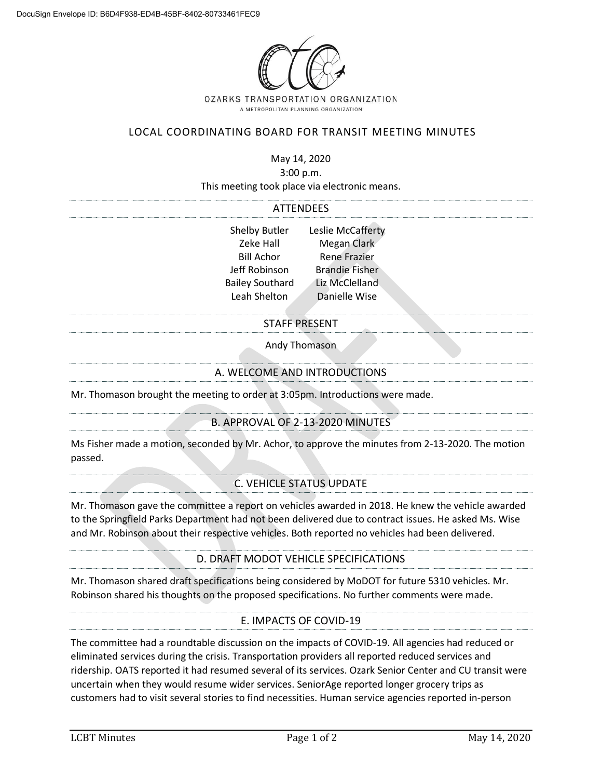

# LOCAL COORDINATING BOARD FOR TRANSIT MEETING MINUTES

May 14, 2020

3:00 p.m.

This meeting took place via electronic means.

#### ATTENDEES

| <b>Shelby Butler</b>   | Leslie McCafferty     |
|------------------------|-----------------------|
| Zeke Hall              | Megan Clark           |
| <b>Bill Achor</b>      | <b>Rene Frazier</b>   |
| Jeff Robinson          | <b>Brandie Fisher</b> |
| <b>Bailey Southard</b> | Liz McClelland        |
| Leah Shelton           | Danielle Wise         |
|                        |                       |

### STAFF PRESENT

Andy Thomason

### A. WELCOME AND INTRODUCTIONS

Mr. Thomason brought the meeting to order at 3:05pm. Introductions were made.

## B. APPROVAL OF 2-13-2020 MINUTES

Ms Fisher made a motion, seconded by Mr. Achor, to approve the minutes from 2-13-2020. The motion passed.

## C. VEHICLE STATUS UPDATE

Mr. Thomason gave the committee a report on vehicles awarded in 2018. He knew the vehicle awarded to the Springfield Parks Department had not been delivered due to contract issues. He asked Ms. Wise and Mr. Robinson about their respective vehicles. Both reported no vehicles had been delivered.

### D. DRAFT MODOT VEHICLE SPECIFICATIONS

Mr. Thomason shared draft specifications being considered by MoDOT for future 5310 vehicles. Mr. Robinson shared his thoughts on the proposed specifications. No further comments were made.

## E. IMPACTS OF COVID-19

The committee had a roundtable discussion on the impacts of COVID-19. All agencies had reduced or eliminated services during the crisis. Transportation providers all reported reduced services and ridership. OATS reported it had resumed several of its services. Ozark Senior Center and CU transit were uncertain when they would resume wider services. SeniorAge reported longer grocery trips as customers had to visit several stories to find necessities. Human service agencies reported in-person